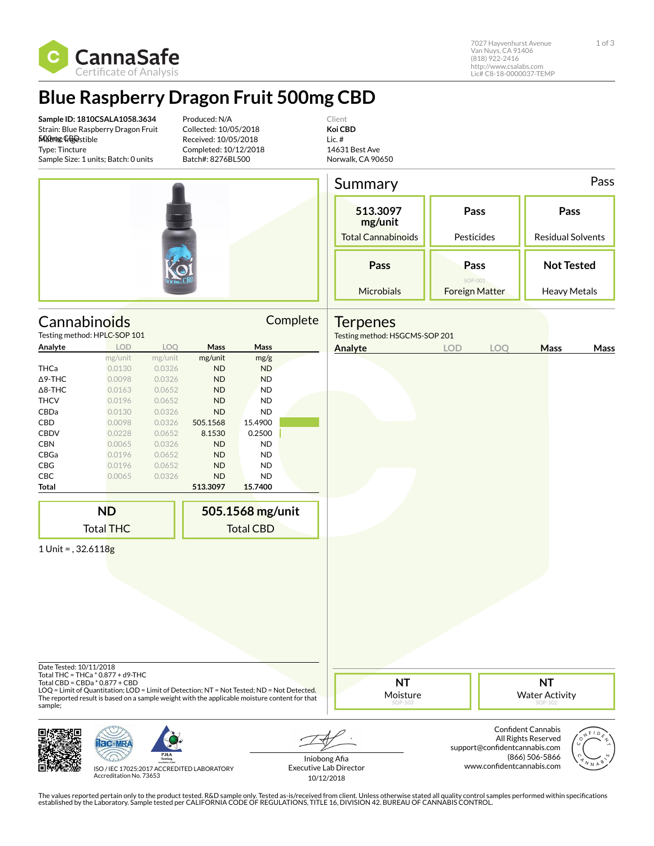

7027 Hayvenhurst Avenue 1 of 3 Van Nuys, CA 91406 (818) 922-2416 http://www.csalabs.com Lic# C8-18-0000037-TEMP

## **Blue Raspberry Dragon Fruit 500mg CBD**

**Sample ID: 1810CSALA1058.3634** Strain: Blue Raspberry Dragon Fruit 500mg CBD Matrix: Ingestible Type: Tincture Sample Size: 1 units; Batch: 0 units

Produced: N/A Collected: 10/05/2018 Received: 10/05/2018 Completed: 10/12/2018 Batch#: 8276BL500

Client **Koi CBD** Lic. # 14631 Best Ave Norwalk, CA 90650

|                                    |                                                                                                                                                                                                                                                                    |         |           |                                      |                                                | Summary                                           |                                          |                                                            |                                                                    |                                  | Pass |
|------------------------------------|--------------------------------------------------------------------------------------------------------------------------------------------------------------------------------------------------------------------------------------------------------------------|---------|-----------|--------------------------------------|------------------------------------------------|---------------------------------------------------|------------------------------------------|------------------------------------------------------------|--------------------------------------------------------------------|----------------------------------|------|
|                                    |                                                                                                                                                                                                                                                                    |         |           |                                      |                                                | 513.3097<br>mg/unit<br><b>Total Cannabinoids</b>  | Pass<br>Pesticides                       |                                                            |                                                                    | Pass<br><b>Residual Solvents</b> |      |
|                                    |                                                                                                                                                                                                                                                                    |         |           |                                      |                                                |                                                   |                                          |                                                            |                                                                    |                                  |      |
|                                    |                                                                                                                                                                                                                                                                    |         |           |                                      |                                                | Pass                                              | Pass<br>SOP-001<br><b>Foreign Matter</b> |                                                            | <b>Not Tested</b>                                                  |                                  |      |
|                                    |                                                                                                                                                                                                                                                                    |         |           |                                      | Microbials                                     | <b>Heavy Metals</b>                               |                                          |                                                            |                                                                    |                                  |      |
| Cannabinoids                       | Testing method: HPLC-SOP 101                                                                                                                                                                                                                                       |         |           |                                      | Complete                                       | <b>Terpenes</b><br>Testing method: HSGCMS-SOP 201 |                                          |                                                            |                                                                    |                                  |      |
| Analyte                            | <b>LOD</b>                                                                                                                                                                                                                                                         | LOQ     | Mass      | Mass                                 |                                                | Analyte                                           | <b>LOD</b>                               | LOQ                                                        | Mass                                                               |                                  | Mass |
|                                    | mg/unit                                                                                                                                                                                                                                                            | mg/unit | mg/unit   | mg/g                                 |                                                |                                                   |                                          |                                                            |                                                                    |                                  |      |
| <b>THCa</b>                        | 0.0130                                                                                                                                                                                                                                                             | 0.0326  | ND        | <b>ND</b>                            |                                                |                                                   |                                          |                                                            |                                                                    |                                  |      |
| $\Delta$ 9-THC                     | 0.0098                                                                                                                                                                                                                                                             | 0.0326  | ND        | <b>ND</b>                            |                                                |                                                   |                                          |                                                            |                                                                    |                                  |      |
| $\Delta$ 8-THC                     | 0.0163                                                                                                                                                                                                                                                             | 0.0652  | <b>ND</b> | <b>ND</b>                            |                                                |                                                   |                                          |                                                            |                                                                    |                                  |      |
| <b>THCV</b>                        | 0.0196                                                                                                                                                                                                                                                             | 0.0652  | <b>ND</b> | <b>ND</b>                            |                                                |                                                   |                                          |                                                            |                                                                    |                                  |      |
| CBDa                               | 0.0130                                                                                                                                                                                                                                                             | 0.0326  | ND        | <b>ND</b>                            |                                                |                                                   |                                          |                                                            |                                                                    |                                  |      |
| CBD                                | 0.0098                                                                                                                                                                                                                                                             | 0.0326  | 505.1568  | 15.4900                              |                                                |                                                   |                                          |                                                            |                                                                    |                                  |      |
| <b>CBDV</b>                        | 0.0228                                                                                                                                                                                                                                                             | 0.0652  | 8.1530    | 0.2500                               |                                                |                                                   |                                          |                                                            |                                                                    |                                  |      |
| <b>CBN</b>                         | 0.0065                                                                                                                                                                                                                                                             | 0.0326  | ND        | <b>ND</b>                            |                                                |                                                   |                                          |                                                            |                                                                    |                                  |      |
| CBGa                               | 0.0196                                                                                                                                                                                                                                                             | 0.0652  | ND        | <b>ND</b>                            |                                                |                                                   |                                          |                                                            |                                                                    |                                  |      |
| CBG                                | 0.0196                                                                                                                                                                                                                                                             | 0.0652  | ND        | <b>ND</b>                            |                                                |                                                   |                                          |                                                            |                                                                    |                                  |      |
| CBC                                | 0.0065                                                                                                                                                                                                                                                             | 0.0326  | ND        | <b>ND</b>                            |                                                |                                                   |                                          |                                                            |                                                                    |                                  |      |
| Total                              |                                                                                                                                                                                                                                                                    |         | 513.3097  | 15.7400                              |                                                |                                                   |                                          |                                                            |                                                                    |                                  |      |
|                                    |                                                                                                                                                                                                                                                                    |         |           |                                      |                                                |                                                   |                                          |                                                            |                                                                    |                                  |      |
|                                    | <b>ND</b><br><b>Total THC</b>                                                                                                                                                                                                                                      |         |           | 505.1568 mg/unit<br><b>Total CBD</b> |                                                |                                                   |                                          |                                                            |                                                                    |                                  |      |
|                                    |                                                                                                                                                                                                                                                                    |         |           |                                      |                                                |                                                   |                                          |                                                            |                                                                    |                                  |      |
| 1 Unit = $, 32.6118g$              |                                                                                                                                                                                                                                                                    |         |           |                                      |                                                |                                                   |                                          |                                                            |                                                                    |                                  |      |
| Date Tested: 10/11/2018<br>sample; | Total THC = THCa * 0.877 + d9-THC<br>Total CBD = CBDa * 0.877 + CBD<br>LOQ = Limit of Quantitation; LOD = Limit of Detection; NT = Not Tested; ND = Not Detected.<br>The reported result is based on a sample weight with the applicable moisture content for that |         |           |                                      |                                                | <b>NT</b><br>Moisture<br>SOP-103                  |                                          |                                                            | <b>NT</b><br><b>Water Activity</b><br>SOP-102                      |                                  |      |
|                                    | ISO / IEC 17025-2017 ACCREDITED LABORATORY                                                                                                                                                                                                                         |         |           |                                      | Iniobong Afia<br><b>Executive Lab Director</b> |                                                   |                                          | support@confidentcannabis.com<br>www.confidentcannabis.com | <b>Confident Cannabis</b><br>All Rights Reserved<br>(866) 506-5866 |                                  |      |

ISO / IEC 17025:2017 ACCREDITED LABORATORY Accreditation No. 73653

Iniobong Afia Executive Lab Director 10/12/2018



The values reported pertain only to the product tested. R&D sample only. Tested as-is/received from client. Unless otherwise stated all quality control samples performed within specifications<br>established by the Laboratory.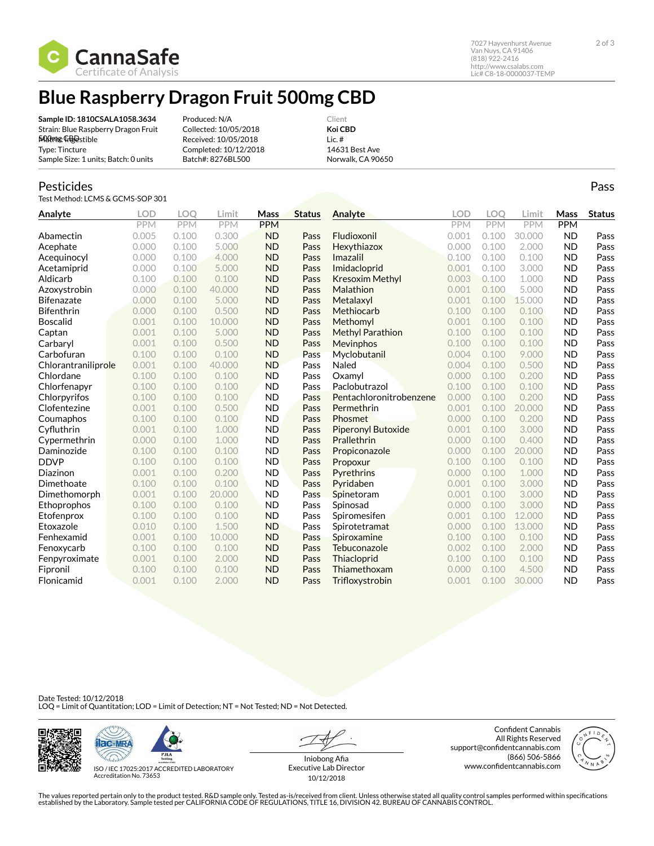

7027 Hayvenhurst Avenue 2 of 3 Van Nuys, CA 91406 (818) 922-2416 http://www.csalabs.com Lic# C8-18-0000037-TEMP

## **Blue Raspberry Dragon Fruit 500mg CBD**

**Sample ID: 1810CSALA1058.3634** Strain: Blue Raspberry Dragon Fruit 500mg CBD Matrix: Ingestible Type: Tincture Sample Size: 1 units; Batch: 0 units

Produced: N/A Collected: 10/05/2018 Received: 10/05/2018 Completed: 10/12/2018 Batch#: 8276BL500

Client **Koi CBD** Lic. # 14631 Best Ave Norwalk, CA 90650

## Pesticides

Test Method: LCMS & GCMS-SOP 301

| Analyte             | <b>LOD</b> | <b>LOO</b> | Limit      | Mass       | <b>Status</b> | Analyte                 | LOD   | <b>LOO</b> | Limit      | Mass       | <b>Status</b> |
|---------------------|------------|------------|------------|------------|---------------|-------------------------|-------|------------|------------|------------|---------------|
|                     | <b>PPM</b> | PPM        | <b>PPM</b> | <b>PPM</b> |               |                         | PPM   | PPM        | <b>PPM</b> | <b>PPM</b> |               |
| Abamectin           | 0.005      | 0.100      | 0.300      | <b>ND</b>  | Pass          | Fludioxonil             | 0.001 | 0.100      | 30.000     | <b>ND</b>  | Pass          |
| Acephate            | 0.000      | 0.100      | 5.000      | <b>ND</b>  | Pass          | Hexythiazox             | 0.000 | 0.100      | 2.000      | <b>ND</b>  | Pass          |
| Acequinocyl         | 0.000      | 0.100      | 4.000      | <b>ND</b>  | Pass          | Imazalil                | 0.100 | 0.100      | 0.100      | <b>ND</b>  | Pass          |
| Acetamiprid         | 0.000      | 0.100      | 5.000      | <b>ND</b>  | Pass          | Imidacloprid            | 0.001 | 0.100      | 3.000      | <b>ND</b>  | Pass          |
| Aldicarb            | 0.100      | 0.100      | 0.100      | <b>ND</b>  | Pass          | <b>Kresoxim Methyl</b>  | 0.003 | 0.100      | 1.000      | <b>ND</b>  | Pass          |
| Azoxystrobin        | 0.000      | 0.100      | 40,000     | <b>ND</b>  | Pass          | Malathion               | 0.001 | 0.100      | 5.000      | <b>ND</b>  | Pass          |
| <b>Bifenazate</b>   | 0.000      | 0.100      | 5.000      | <b>ND</b>  | Pass          | Metalaxyl               | 0.001 | 0.100      | 15.000     | <b>ND</b>  | Pass          |
| <b>Bifenthrin</b>   | 0.000      | 0.100      | 0.500      | <b>ND</b>  | Pass          | Methiocarb              | 0.100 | 0.100      | 0.100      | <b>ND</b>  | Pass          |
| <b>Boscalid</b>     | 0.001      | 0.100      | 10.000     | <b>ND</b>  | Pass          | Methomyl                | 0.001 | 0.100      | 0.100      | <b>ND</b>  | Pass          |
| Captan              | 0.001      | 0.100      | 5.000      | <b>ND</b>  | Pass          | <b>Methyl Parathion</b> | 0.100 | 0.100      | 0.100      | <b>ND</b>  | Pass          |
| Carbaryl            | 0.001      | 0.100      | 0.500      | <b>ND</b>  | Pass          | Mevinphos               | 0.100 | 0.100      | 0.100      | <b>ND</b>  | Pass          |
| Carbofuran          | 0.100      | 0.100      | 0.100      | <b>ND</b>  | Pass          | Myclobutanil            | 0.004 | 0.100      | 9.000      | <b>ND</b>  | Pass          |
| Chlorantraniliprole | 0.001      | 0.100      | 40.000     | <b>ND</b>  | Pass          | Naled                   | 0.004 | 0.100      | 0.500      | <b>ND</b>  | Pass          |
| Chlordane           | 0.100      | 0.100      | 0.100      | <b>ND</b>  | Pass          | Oxamvl                  | 0.000 | 0.100      | 0.200      | <b>ND</b>  | Pass          |
| Chlorfenapyr        | 0.100      | 0.100      | 0.100      | <b>ND</b>  | Pass          | Paclobutrazol           | 0.100 | 0.100      | 0.100      | <b>ND</b>  | Pass          |
| Chlorpyrifos        | 0.100      | 0.100      | 0.100      | <b>ND</b>  | Pass          | Pentachloronitrobenzene | 0.000 | 0.100      | 0.200      | <b>ND</b>  | Pass          |
| Clofentezine        | 0.001      | 0.100      | 0.500      | <b>ND</b>  | Pass          | Permethrin              | 0.001 | 0.100      | 20.000     | <b>ND</b>  | Pass          |
| Coumaphos           | 0.100      | 0.100      | 0.100      | <b>ND</b>  | Pass          | Phosmet                 | 0.000 | 0.100      | 0.200      | <b>ND</b>  | Pass          |
| Cyfluthrin          | 0.001      | 0.100      | 1.000      | <b>ND</b>  | Pass          | Piperonyl Butoxide      | 0.001 | 0.100      | 3.000      | <b>ND</b>  | Pass          |
| Cypermethrin        | 0.000      | 0.100      | 1.000      | <b>ND</b>  | Pass          | Prallethrin             | 0.000 | 0.100      | 0.400      | <b>ND</b>  | Pass          |
| Daminozide          | 0.100      | 0.100      | 0.100      | <b>ND</b>  | Pass          | Propiconazole           | 0.000 | 0.100      | 20.000     | <b>ND</b>  | Pass          |
| <b>DDVP</b>         | 0.100      | 0.100      | 0.100      | <b>ND</b>  | Pass          | Propoxur                | 0.100 | 0.100      | 0.100      | <b>ND</b>  | Pass          |
| Diazinon            | 0.001      | 0.100      | 0.200      | <b>ND</b>  | Pass          | Pyrethrins              | 0.000 | 0.100      | 1.000      | <b>ND</b>  | Pass          |
| Dimethoate          | 0.100      | 0.100      | 0.100      | <b>ND</b>  | Pass          | Pyridaben               | 0.001 | 0.100      | 3.000      | <b>ND</b>  | Pass          |
| Dimethomorph        | 0.001      | 0.100      | 20.000     | <b>ND</b>  | Pass          | Spinetoram              | 0.001 | 0.100      | 3.000      | <b>ND</b>  | Pass          |
| Ethoprophos         | 0.100      | 0.100      | 0.100      | <b>ND</b>  | Pass          | Spinosad                | 0.000 | 0.100      | 3.000      | <b>ND</b>  | Pass          |
| Etofenprox          | 0.100      | 0.100      | 0.100      | <b>ND</b>  | Pass          | Spiromesifen            | 0.001 | 0.100      | 12.000     | <b>ND</b>  | Pass          |
| Etoxazole           | 0.010      | 0.100      | 1.500      | <b>ND</b>  | Pass          | Spirotetramat           | 0.000 | 0.100      | 13.000     | <b>ND</b>  | Pass          |
| Fenhexamid          | 0.001      | 0.100      | 10.000     | <b>ND</b>  | Pass          | Spiroxamine             | 0.100 | 0.100      | 0.100      | <b>ND</b>  | Pass          |
| Fenoxycarb          | 0.100      | 0.100      | 0.100      | <b>ND</b>  | Pass          | Tebuconazole            | 0.002 | 0.100      | 2.000      | <b>ND</b>  | Pass          |
| Fenpyroximate       | 0.001      | 0.100      | 2.000      | <b>ND</b>  | Pass          | Thiacloprid             | 0.100 | 0.100      | 0.100      | <b>ND</b>  | Pass          |
| Fipronil            | 0.100      | 0.100      | 0.100      | <b>ND</b>  | Pass          | Thiamethoxam            | 0.000 | 0.100      | 4.500      | <b>ND</b>  | Pass          |
| Flonicamid          | 0.001      | 0.100      | 2.000      | <b>ND</b>  | Pass          | Trifloxystrobin         | 0.001 | 0.100      | 30.000     | <b>ND</b>  | Pass          |

Date Tested: 10/12/2018 LOQ = Limit of Quantitation; LOD = Limit of Detection; NT = Not Tested; ND = Not Detected.





ISO / IEC 17025:2017 ACCREDITED LABORATORY Accreditation No. 73653

Iniobong Afia Executive Lab Director 10/12/2018

Confident Cannabis All Rights Reserved support@confidentcannabis.com (866) 506-5866 www.confidentcannabis.com



The values reported pertain only to the product tested. R&D sample only. Tested as-is/received from client. Unless otherwise stated all quality control samples performed within specifications<br>established by the Laboratory.

Pass